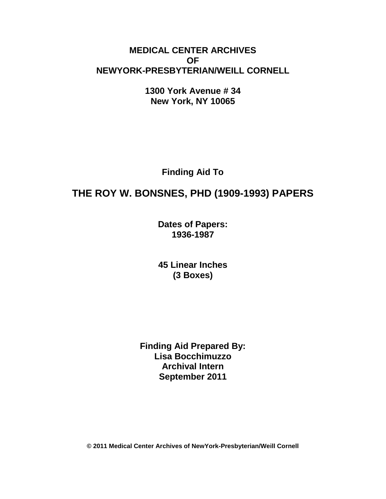# **MEDICAL CENTER ARCHIVES OF NEWYORK-PRESBYTERIAN/WEILL CORNELL**

**1300 York Avenue # 34 New York, NY 10065**

**Finding Aid To**

# **THE ROY W. BONSNES, PHD (1909-1993) PAPERS**

**Dates of Papers: 1936-1987**

**45 Linear Inches (3 Boxes)**

**Finding Aid Prepared By: Lisa Bocchimuzzo Archival Intern September 2011**

**© 2011 Medical Center Archives of NewYork-Presbyterian/Weill Cornell**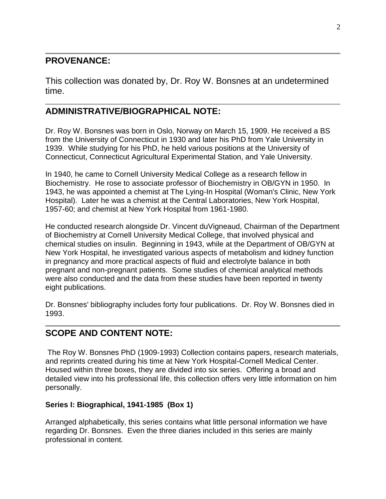# **PROVENANCE:**

This collection was donated by, Dr. Roy W. Bonsnes at an undetermined time.

# **ADMINISTRATIVE/BIOGRAPHICAL NOTE:**

Dr. Roy W. Bonsnes was born in Oslo, Norway on March 15, 1909. He received a BS from the University of Connecticut in 1930 and later his PhD from Yale University in 1939. While studying for his PhD, he held various positions at the University of Connecticut, Connecticut Agricultural Experimental Station, and Yale University.

In 1940, he came to Cornell University Medical College as a research fellow in Biochemistry. He rose to associate professor of Biochemistry in OB/GYN in 1950. In 1943, he was appointed a chemist at The Lying-In Hospital (Woman's Clinic, New York Hospital). Later he was a chemist at the Central Laboratories, New York Hospital, 1957-60; and chemist at New York Hospital from 1961-1980.

He conducted research alongside Dr. Vincent duVigneaud, Chairman of the Department of Biochemistry at Cornell University Medical College, that involved physical and chemical studies on insulin. Beginning in 1943, while at the Department of OB/GYN at New York Hospital, he investigated various aspects of metabolism and kidney function in pregnancy and more practical aspects of fluid and electrolyte balance in both pregnant and non-pregnant patients. Some studies of chemical analytical methods were also conducted and the data from these studies have been reported in twenty eight publications.

Dr. Bonsnes' bibliography includes forty four publications. Dr. Roy W. Bonsnes died in 1993.

# **SCOPE AND CONTENT NOTE:**

The Roy W. Bonsnes PhD (1909-1993) Collection contains papers, research materials, and reprints created during his time at New York Hospital-Cornell Medical Center. Housed within three boxes, they are divided into six series. Offering a broad and detailed view into his professional life, this collection offers very little information on him personally.

# **Series I: Biographical, 1941-1985 (Box 1)**

Arranged alphabetically, this series contains what little personal information we have regarding Dr. Bonsnes. Even the three diaries included in this series are mainly professional in content.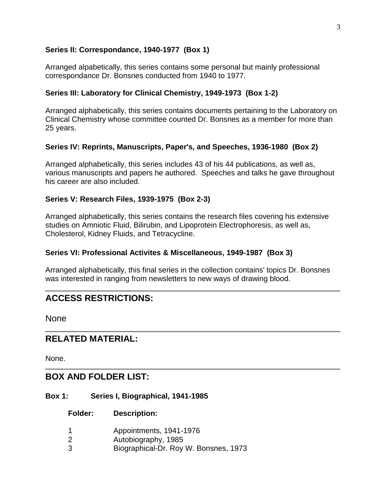## **Series II: Correspondance, 1940-1977 (Box 1)**

Arranged alpabetically, this series contains some personal but mainly professional correspondance Dr. Bonsnes conducted from 1940 to 1977.

## **Series III: Laboratory for Clinical Chemistry, 1949-1973 (Box 1-2)**

Arranged alphabetically, this series contains documents pertaining to the Laboratory on Clinical Chemistry whose committee counted Dr. Bonsnes as a member for more than 25 years.

## **Series IV: Reprints, Manuscripts, Paper's, and Speeches, 1936-1980 (Box 2)**

Arranged alphabetically, this series includes 43 of his 44 publications, as well as, various manuscripts and papers he authored. Speeches and talks he gave throughout his career are also included.

## **Series V: Research Files, 1939-1975 (Box 2-3)**

Arranged alphabetically, this series contains the research files covering his extensive studies on Amniotic Fluid, Bilirubin, and Lipoprotein Electrophoresis, as well as, Cholesterol, Kidney Fluids, and Tetracycline.

## **Series VI: Professional Activites & Miscellaneous, 1949-1987 (Box 3)**

Arranged alphabetically, this final series in the collection contains' topics Dr. Bonsnes was interested in ranging from newsletters to new ways of drawing blood.

# **ACCESS RESTRICTIONS:**

None

# **RELATED MATERIAL:**

None.

# **BOX AND FOLDER LIST:**

#### **Box 1: Series I, Biographical, 1941-1985**

**Folder: Description:**

- 1 Appointments, 1941-1976
- 2 Autobiography, 1985
- 3 Biographical-Dr. Roy W. Bonsnes, 1973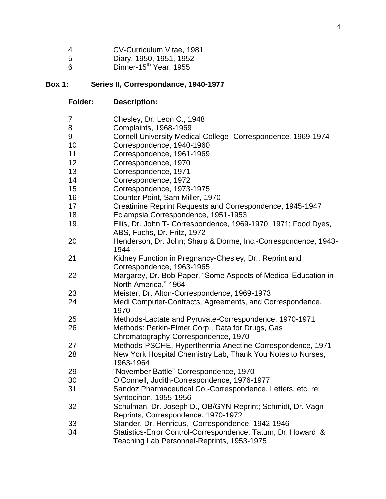| 4 | CV-Curriculum Vitae, 1981 |  |  |
|---|---------------------------|--|--|
|---|---------------------------|--|--|

- Diary, 1950, 1951, 1952
- Dinner-15<sup>th</sup> Year, 1955

#### **Box 1: Series II, Correspondance, 1940-1977**

**Folder: Description:**

| - 7 | Chesley, Dr. Leon C., 1948 |
|-----|----------------------------|
| - 8 | Complaints, 1968-1969      |

- Cornell University Medical College- Correspondence, 1969-1974
- Correspondence, 1940-1960
- Correspondence, 1961-1969
- Correspondence, 1970
- Correspondence, 1971
- Correspondence, 1972
- Correspondence, 1973-1975
- Counter Point, Sam Miller, 1970
- Creatinine Reprint Requests and Correspondence, 1945-1947
- Eclampsia Correspondence, 1951-1953
- Ellis, Dr. John T- Correspondence, 1969-1970, 1971; Food Dyes, ABS, Fuchs, Dr. Fritz, 1972
- Henderson, Dr. John; Sharp & Dorme, Inc.-Correspondence, 1943-
- Kidney Function in Pregnancy-Chesley, Dr., Reprint and Correspondence, 1963-1965
- Margarey, Dr. Bob-Paper, "Some Aspects of Medical Education in North America," 1964
- Meister, Dr. Alton-Correspondence, 1969-1973
- Medi Computer-Contracts, Agreements, and Correspondence,
- Methods-Lactate and Pyruvate-Correspondence, 1970-1971
- Methods: Perkin-Elmer Corp., Data for Drugs, Gas
- Chromatography-Correspondence, 1970
- Methods-PSCHE, Hyperthermia Anectine-Correspondence, 1971

 New York Hospital Chemistry Lab, Thank You Notes to Nurses, 1963-1964

- "November Battle"-Correspondence, 1970
- O'Connell, Judith-Correspondence, 1976-1977
- Sandoz Pharmaceutical Co.-Correspondence, Letters, etc. re: Syntocinon, 1955-1956
- Schulman, Dr. Joseph D., OB/GYN-Reprint; Schmidt, Dr. Vagn-Reprints, Correspondence, 1970-1972
- Stander, Dr. Henricus, -Correspondence, 1942-1946
- Statistics-Error Control-Correspondence, Tatum, Dr. Howard & Teaching Lab Personnel-Reprints, 1953-1975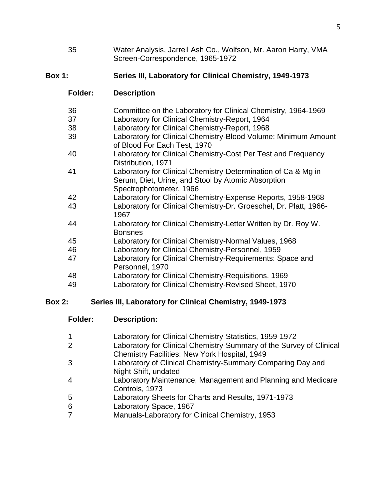Water Analysis, Jarrell Ash Co., Wolfson, Mr. Aaron Harry, VMA Screen-Correspondence, 1965-1972

## **Box 1: Series III, Laboratory for Clinical Chemistry, 1949-1973**

## **Folder: Description**

| 36         | Committee on the Laboratory for Clinical Chemistry, 1964-1969                                                                                  |
|------------|------------------------------------------------------------------------------------------------------------------------------------------------|
| 37         | Laboratory for Clinical Chemistry-Report, 1964                                                                                                 |
| 38         | Laboratory for Clinical Chemistry-Report, 1968                                                                                                 |
| 39         | Laboratory for Clinical Chemistry-Blood Volume: Minimum Amount<br>of Blood For Each Test, 1970                                                 |
| 40         | Laboratory for Clinical Chemistry-Cost Per Test and Frequency<br>Distribution, 1971                                                            |
| 41         | Laboratory for Clinical Chemistry-Determination of Ca & Mg in<br>Serum, Diet, Urine, and Stool by Atomic Absorption<br>Spectrophotometer, 1966 |
| 42         | Laboratory for Clinical Chemistry-Expense Reports, 1958-1968                                                                                   |
| 43         | Laboratory for Clinical Chemistry-Dr. Groeschel, Dr. Platt, 1966-<br>1967                                                                      |
| 44         | Laboratory for Clinical Chemistry-Letter Written by Dr. Roy W.<br><b>Bonsnes</b>                                                               |
| 45         | Laboratory for Clinical Chemistry-Normal Values, 1968                                                                                          |
| 46         | Laboratory for Clinical Chemistry-Personnel, 1959                                                                                              |
| 47         | Laboratory for Clinical Chemistry-Requirements: Space and<br>Personnel, 1970                                                                   |
| $\sqrt{2}$ | Let easten the Olivian Observator Democratic on $AOOO$                                                                                         |

- Laboratory for Clinical Chemistry-Requisitions, 1969
- Laboratory for Clinical Chemistry-Revised Sheet, 1970

## **Box 2: Series III, Laboratory for Clinical Chemistry, 1949-1973**

## **Folder: Description:**

- Laboratory for Clinical Chemistry-Statistics, 1959-1972
- Laboratory for Clinical Chemistry-Summary of the Survey of Clinical Chemistry Facilities: New York Hospital, 1949
- Laboratory of Clinical Chemistry-Summary Comparing Day and Night Shift, undated
- Laboratory Maintenance, Management and Planning and Medicare Controls, 1973
- Laboratory Sheets for Charts and Results, 1971-1973
- Laboratory Space, 1967
- Manuals-Laboratory for Clinical Chemistry, 1953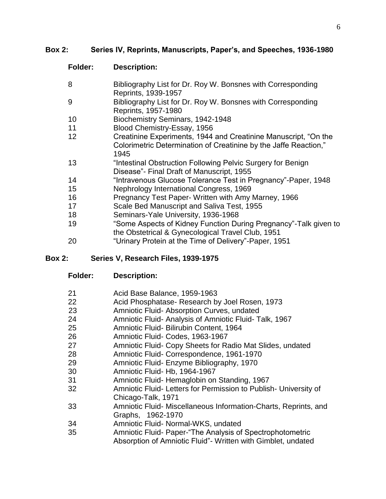## **Box 2: Series IV, Reprints, Manuscripts, Paper's, and Speeches, 1936-1980**

# **Folder: Description:**

| 8  | Bibliography List for Dr. Roy W. Bonsnes with Corresponding<br>Reprints, 1939-1957 |
|----|------------------------------------------------------------------------------------|
| 9  | Bibliography List for Dr. Roy W. Bonsnes with Corresponding                        |
|    | Reprints, 1957-1980                                                                |
| 10 | Biochemistry Seminars, 1942-1948                                                   |
| 11 | Blood Chemistry-Essay, 1956                                                        |
| 12 | Creatinine Experiments, 1944 and Creatinine Manuscript, "On the                    |
|    | Colorimetric Determination of Creatinine by the Jaffe Reaction,"                   |
|    | 1945                                                                               |
| 13 | "Intestinal Obstruction Following Pelvic Surgery for Benign                        |
|    | Disease"- Final Draft of Manuscript, 1955                                          |
| 14 | "Intravenous Glucose Tolerance Test in Pregnancy"-Paper, 1948                      |
| 15 | Nephrology International Congress, 1969                                            |
| 16 | Pregnancy Test Paper- Written with Amy Marney, 1966                                |
| 17 | Scale Bed Manuscript and Saliva Test, 1955                                         |
| 18 | Seminars-Yale University, 1936-1968                                                |
| 19 | "Some Aspects of Kidney Function During Pregnancy"-Talk given to                   |
|    | the Obstetrical & Gynecological Travel Club, 1951                                  |
| 20 | "Urinary Protein at the Time of Delivery"-Paper, 1951                              |

## **Box 2: Series V, Research Files, 1939-1975**

| 21 | Acid Base Balance, 1959-1963 |  |
|----|------------------------------|--|
|----|------------------------------|--|

- Acid Phosphatase- Research by Joel Rosen, 1973
- Amniotic Fluid- Absorption Curves, undated
- Amniotic Fluid- Analysis of Amniotic Fluid- Talk, 1967
- Amniotic Fluid- Bilirubin Content, 1964
- Amniotic Fluid- Codes, 1963-1967
- Amniotic Fluid- Copy Sheets for Radio Mat Slides, undated
- Amniotic Fluid- Correspondence, 1961-1970
- Amniotic Fluid- Enzyme Bibliography, 1970
- Amniotic Fluid- Hb, 1964-1967
- Amniotic Fluid- Hemaglobin on Standing, 1967
- Amniotic Fluid- Letters for Permission to Publish- University of Chicago-Talk, 1971
- Amniotic Fluid- Miscellaneous Information-Charts, Reprints, and Graphs, 1962-1970
- Amniotic Fluid- Normal-WKS, undated
- Amniotic Fluid- Paper-"The Analysis of Spectrophotometric
	- Absorption of Amniotic Fluid"- Written with Gimblet, undated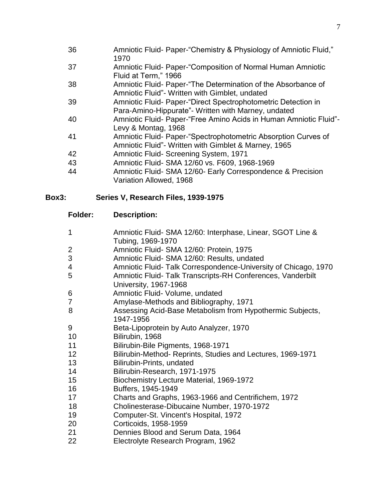- Amniotic Fluid- Paper-"Chemistry & Physiology of Amniotic Fluid,"
- Amniotic Fluid- Paper-"Composition of Normal Human Amniotic Fluid at Term," 1966
- Amniotic Fluid- Paper-"The Determination of the Absorbance of Amniotic Fluid"- Written with Gimblet, undated
- Amniotic Fluid- Paper-"Direct Spectrophotometric Detection in Para-Amino-Hippurate"- Written with Marney, undated
- Amniotic Fluid- Paper-"Free Amino Acids in Human Amniotic Fluid"- Levy & Montag, 1968
- Amniotic Fluid- Paper-"Spectrophotometric Absorption Curves of Amniotic Fluid"- Written with Gimblet & Marney, 1965
- Amniotic Fluid- Screening System, 1971
- Amniotic Fluid- SMA 12/60 vs. F609, 1968-1969
- Amniotic Fluid- SMA 12/60- Early Correspondence & Precision Variation Allowed, 1968

# **Box3: Series V, Research Files, 1939-1975**

# **Folder: Description:**

 Amniotic Fluid- SMA 12/60: Interphase, Linear, SGOT Line & Tubing, 1969-1970 Amniotic Fluid- SMA 12/60: Protein, 1975 Amniotic Fluid- SMA 12/60: Results, undated Amniotic Fluid- Talk Correspondence-University of Chicago, 1970 Amniotic Fluid- Talk Transcripts-RH Conferences, Vanderbilt University, 1967-1968 6 Amniotic Fluid- Volume, undated Amylase-Methods and Bibliography, 1971 Assessing Acid-Base Metabolism from Hypothermic Subjects, 1947-1956 Beta-Lipoprotein by Auto Analyzer, 1970 Bilirubin, 1968 Bilirubin-Bile Pigments, 1968-1971 Bilirubin-Method- Reprints, Studies and Lectures, 1969-1971 Bilirubin-Prints, undated Bilirubin-Research, 1971-1975 Biochemistry Lecture Material, 1969-1972 Buffers, 1945-1949 Charts and Graphs, 1963-1966 and Centrifichem, 1972 Cholinesterase-Dibucaine Number, 1970-1972 Computer-St. Vincent's Hospital, 1972 Corticoids, 1958-1959 Dennies Blood and Serum Data, 1964 Electrolyte Research Program, 1962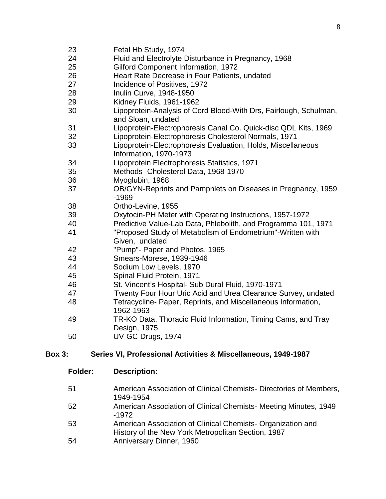- Fetal Hb Study, 1974
- Fluid and Electrolyte Disturbance in Pregnancy, 1968
- Gilford Component Information, 1972
- Heart Rate Decrease in Four Patients, undated
- Incidence of Positives, 1972
- Inulin Curve, 1948-1950
- Kidney Fluids, 1961-1962
- Lipoprotein-Analysis of Cord Blood-With Drs, Fairlough, Schulman, and Sloan, undated
- Lipoprotein-Electrophoresis Canal Co. Quick-disc QDL Kits, 1969
- Lipoprotein-Electrophoresis Cholesterol Normals, 1971
- Lipoprotein-Electrophoresis Evaluation, Holds, Miscellaneous Information, 1970-1973
- Lipoprotein Electrophoresis Statistics, 1971
- Methods- Cholesterol Data, 1968-1970
- Myoglubin, 1968
- OB/GYN-Reprints and Pamphlets on Diseases in Pregnancy, 1959 -1969
- Ortho-Levine, 1955
- Oxytocin-PH Meter with Operating Instructions, 1957-1972
- Predictive Value-Lab Data, Phlebolith, and Programma 101, 1971
- "Proposed Study of Metabolism of Endometrium"-Written with Given, undated
- "Pump"- Paper and Photos, 1965
- Smears-Morese, 1939-1946
- Sodium Low Levels, 1970
- Spinal Fluid Protein, 1971
- St. Vincent's Hospital- Sub Dural Fluid, 1970-1971
- 47 Twenty Four Hour Uric Acid and Urea Clearance Survey, undated
- Tetracycline- Paper, Reprints, and Miscellaneous Information, 1962-1963
- TR-KO Data, Thoracic Fluid Information, Timing Cams, and Tray Design, 1975
- UV-GC-Drugs, 1974

#### **Box 3: Series VI, Professional Activities & Miscellaneous, 1949-1987**

- **Folder: Description:**
- American Association of Clinical Chemists- Directories of Members, 1949-1954
- American Association of Clinical Chemists- Meeting Minutes, 1949 -1972
- American Association of Clinical Chemists- Organization and History of the New York Metropolitan Section, 1987
- Anniversary Dinner, 1960